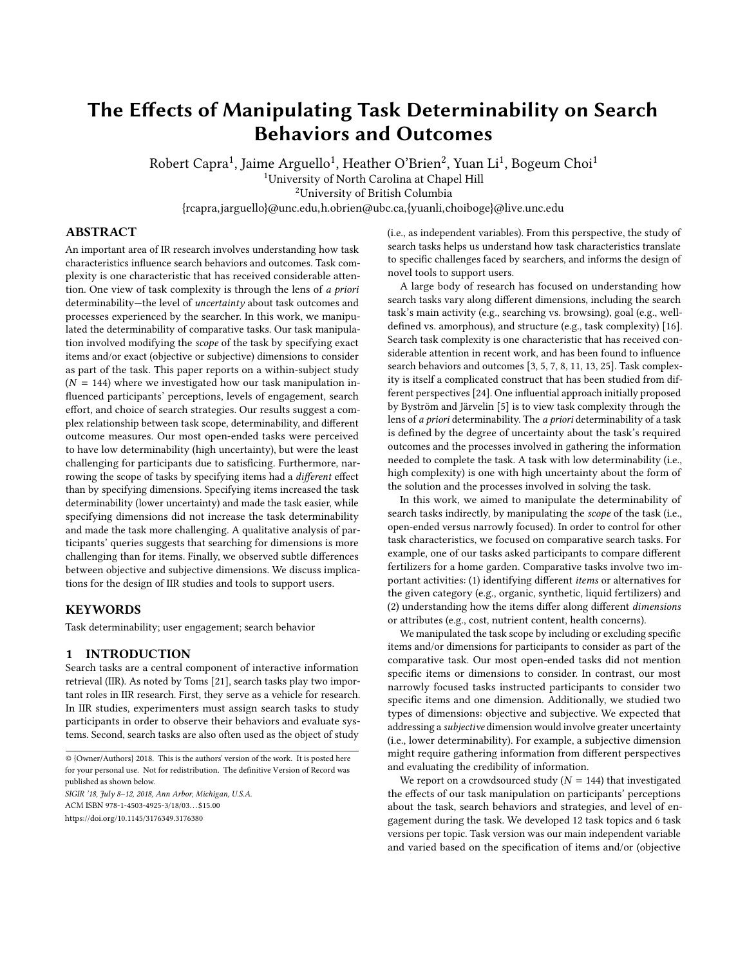# The Effects of Manipulating Task Determinability on Search Behaviors and Outcomes

Robert Capra<sup>1</sup>, Jaime Arguello<sup>1</sup>, Heather O'Brien<sup>2</sup>, Yuan Li<sup>1</sup>, Bogeum Choi<sup>1</sup> <sup>1</sup>University of North Carolina at Chapel Hill <sup>2</sup>University of British Columbia

{rcapra,jarguello}@unc.edu,h.obrien@ubc.ca,{yuanli,choiboge}@live.unc.edu

# ABSTRACT

An important area of IR research involves understanding how task characteristics influence search behaviors and outcomes. Task complexity is one characteristic that has received considerable attention. One view of task complexity is through the lens of a priori determinability—the level of uncertainty about task outcomes and processes experienced by the searcher. In this work, we manipulated the determinability of comparative tasks. Our task manipulation involved modifying the scope of the task by specifying exact items and/or exact (objective or subjective) dimensions to consider as part of the task. This paper reports on a within-subject study  $(N = 144)$  where we investigated how our task manipulation influenced participants' perceptions, levels of engagement, search effort, and choice of search strategies. Our results suggest a complex relationship between task scope, determinability, and different outcome measures. Our most open-ended tasks were perceived to have low determinability (high uncertainty), but were the least challenging for participants due to satisficing. Furthermore, narrowing the scope of tasks by specifying items had a different effect than by specifying dimensions. Specifying items increased the task determinability (lower uncertainty) and made the task easier, while specifying dimensions did not increase the task determinability and made the task more challenging. A qualitative analysis of participants' queries suggests that searching for dimensions is more challenging than for items. Finally, we observed subtle differences between objective and subjective dimensions. We discuss implications for the design of IIR studies and tools to support users.

# **KEYWORDS**

Task determinability; user engagement; search behavior

## 1 INTRODUCTION

Search tasks are a central component of interactive information retrieval (IIR). As noted by Toms [\[21\]](#page-9-0), search tasks play two important roles in IIR research. First, they serve as a vehicle for research. In IIR studies, experimenters must assign search tasks to study participants in order to observe their behaviors and evaluate systems. Second, search tasks are also often used as the object of study

SIGIR '18, July 8–12, 2018, Ann Arbor, Michigan, U.S.A. ACM ISBN 978-1-4503-4925-3/18/03. . . \$15.00

<https://doi.org/10.1145/3176349.3176380>

(i.e., as independent variables). From this perspective, the study of search tasks helps us understand how task characteristics translate to specific challenges faced by searchers, and informs the design of novel tools to support users.

A large body of research has focused on understanding how search tasks vary along different dimensions, including the search task's main activity (e.g., searching vs. browsing), goal (e.g., welldefined vs. amorphous), and structure (e.g., task complexity) [\[16\]](#page-9-1). Search task complexity is one characteristic that has received considerable attention in recent work, and has been found to influence search behaviors and outcomes [\[3,](#page-9-2) [5,](#page-9-3) [7,](#page-9-4) [8,](#page-9-5) [11,](#page-9-6) [13,](#page-9-7) [25\]](#page-9-8). Task complexity is itself a complicated construct that has been studied from different perspectives [\[24\]](#page-9-9). One influential approach initially proposed by Byström and Järvelin [\[5\]](#page-9-3) is to view task complexity through the lens of a priori determinability. The a priori determinability of a task is defined by the degree of uncertainty about the task's required outcomes and the processes involved in gathering the information needed to complete the task. A task with low determinability (i.e., high complexity) is one with high uncertainty about the form of the solution and the processes involved in solving the task.

In this work, we aimed to manipulate the determinability of search tasks indirectly, by manipulating the scope of the task (i.e., open-ended versus narrowly focused). In order to control for other task characteristics, we focused on comparative search tasks. For example, one of our tasks asked participants to compare different fertilizers for a home garden. Comparative tasks involve two important activities: (1) identifying different items or alternatives for the given category (e.g., organic, synthetic, liquid fertilizers) and (2) understanding how the items differ along different dimensions or attributes (e.g., cost, nutrient content, health concerns).

We manipulated the task scope by including or excluding specific items and/or dimensions for participants to consider as part of the comparative task. Our most open-ended tasks did not mention specific items or dimensions to consider. In contrast, our most narrowly focused tasks instructed participants to consider two specific items and one dimension. Additionally, we studied two types of dimensions: objective and subjective. We expected that addressing a subjective dimension would involve greater uncertainty (i.e., lower determinability). For example, a subjective dimension might require gathering information from different perspectives and evaluating the credibility of information.

We report on a crowdsourced study ( $N = 144$ ) that investigated the effects of our task manipulation on participants' perceptions about the task, search behaviors and strategies, and level of engagement during the task. We developed 12 task topics and 6 task versions per topic. Task version was our main independent variable and varied based on the specification of items and/or (objective

<sup>© {</sup>Owner/Authors} 2018. This is the authors' version of the work. It is posted here for your personal use. Not for redistribution. The definitive Version of Record was published as shown below.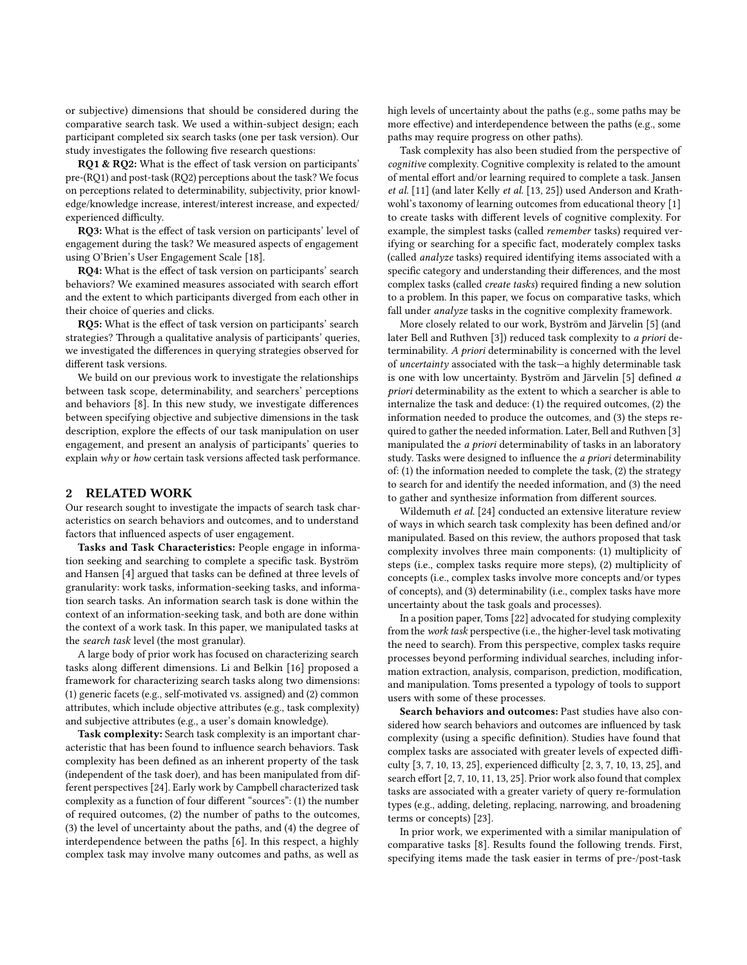or subjective) dimensions that should be considered during the comparative search task. We used a within-subject design; each participant completed six search tasks (one per task version). Our study investigates the following five research questions:

RQ1 & RQ2: What is the effect of task version on participants' pre-(RQ1) and post-task (RQ2) perceptions about the task? We focus on perceptions related to determinability, subjectivity, prior knowledge/knowledge increase, interest/interest increase, and expected/ experienced difficulty.

RQ3: What is the effect of task version on participants' level of engagement during the task? We measured aspects of engagement using O'Brien's User Engagement Scale [\[18\]](#page-9-10).

RQ4: What is the effect of task version on participants' search behaviors? We examined measures associated with search effort and the extent to which participants diverged from each other in their choice of queries and clicks.

RQ5: What is the effect of task version on participants' search strategies? Through a qualitative analysis of participants' queries, we investigated the differences in querying strategies observed for different task versions.

We build on our previous work to investigate the relationships between task scope, determinability, and searchers' perceptions and behaviors [\[8\]](#page-9-5). In this new study, we investigate differences between specifying objective and subjective dimensions in the task description, explore the effects of our task manipulation on user engagement, and present an analysis of participants' queries to explain why or how certain task versions affected task performance.

# 2 RELATED WORK

Our research sought to investigate the impacts of search task characteristics on search behaviors and outcomes, and to understand factors that influenced aspects of user engagement.

Tasks and Task Characteristics: People engage in information seeking and searching to complete a specific task. Byström and Hansen [\[4\]](#page-9-11) argued that tasks can be defined at three levels of granularity: work tasks, information-seeking tasks, and information search tasks. An information search task is done within the context of an information-seeking task, and both are done within the context of a work task. In this paper, we manipulated tasks at the search task level (the most granular).

A large body of prior work has focused on characterizing search tasks along different dimensions. Li and Belkin [\[16\]](#page-9-1) proposed a framework for characterizing search tasks along two dimensions: (1) generic facets (e.g., self-motivated vs. assigned) and (2) common attributes, which include objective attributes (e.g., task complexity) and subjective attributes (e.g., a user's domain knowledge).

Task complexity: Search task complexity is an important characteristic that has been found to influence search behaviors. Task complexity has been defined as an inherent property of the task (independent of the task doer), and has been manipulated from different perspectives [\[24\]](#page-9-9). Early work by Campbell characterized task complexity as a function of four different "sources": (1) the number of required outcomes, (2) the number of paths to the outcomes, (3) the level of uncertainty about the paths, and (4) the degree of interdependence between the paths [\[6\]](#page-9-12). In this respect, a highly complex task may involve many outcomes and paths, as well as

high levels of uncertainty about the paths (e.g., some paths may be more effective) and interdependence between the paths (e.g., some paths may require progress on other paths).

Task complexity has also been studied from the perspective of cognitive complexity. Cognitive complexity is related to the amount of mental effort and/or learning required to complete a task. Jansen et al. [\[11\]](#page-9-6) (and later Kelly et al. [\[13,](#page-9-7) [25\]](#page-9-8)) used Anderson and Krathwohl's taxonomy of learning outcomes from educational theory [\[1\]](#page-9-13) to create tasks with different levels of cognitive complexity. For example, the simplest tasks (called remember tasks) required verifying or searching for a specific fact, moderately complex tasks (called analyze tasks) required identifying items associated with a specific category and understanding their differences, and the most complex tasks (called create tasks) required finding a new solution to a problem. In this paper, we focus on comparative tasks, which fall under analyze tasks in the cognitive complexity framework.

More closely related to our work, Byström and Järvelin [\[5\]](#page-9-3) (and later Bell and Ruthven [\[3\]](#page-9-2)) reduced task complexity to a priori determinability. A priori determinability is concerned with the level of uncertainty associated with the task—a highly determinable task is one with low uncertainty. Byström and Järvelin [\[5\]](#page-9-3) defined a priori determinability as the extent to which a searcher is able to internalize the task and deduce: (1) the required outcomes, (2) the information needed to produce the outcomes, and (3) the steps required to gather the needed information. Later, Bell and Ruthven [\[3\]](#page-9-2) manipulated the a priori determinability of tasks in an laboratory study. Tasks were designed to influence the a priori determinability of: (1) the information needed to complete the task, (2) the strategy to search for and identify the needed information, and (3) the need to gather and synthesize information from different sources.

Wildemuth et al. [\[24\]](#page-9-9) conducted an extensive literature review of ways in which search task complexity has been defined and/or manipulated. Based on this review, the authors proposed that task complexity involves three main components: (1) multiplicity of steps (i.e., complex tasks require more steps), (2) multiplicity of concepts (i.e., complex tasks involve more concepts and/or types of concepts), and (3) determinability (i.e., complex tasks have more uncertainty about the task goals and processes).

In a position paper, Toms [\[22\]](#page-9-14) advocated for studying complexity from the work task perspective (i.e., the higher-level task motivating the need to search). From this perspective, complex tasks require processes beyond performing individual searches, including information extraction, analysis, comparison, prediction, modification, and manipulation. Toms presented a typology of tools to support users with some of these processes.

Search behaviors and outcomes: Past studies have also considered how search behaviors and outcomes are influenced by task complexity (using a specific definition). Studies have found that complex tasks are associated with greater levels of expected difficulty [\[3,](#page-9-2) [7,](#page-9-4) [10,](#page-9-15) [13,](#page-9-7) [25\]](#page-9-8), experienced difficulty [\[2,](#page-9-16) [3,](#page-9-2) [7,](#page-9-4) [10,](#page-9-15) [13,](#page-9-7) [25\]](#page-9-8), and search effort [\[2,](#page-9-16) [7,](#page-9-4) [10,](#page-9-15) [11,](#page-9-6) [13,](#page-9-7) [25\]](#page-9-8). Prior work also found that complex tasks are associated with a greater variety of query re-formulation types (e.g., adding, deleting, replacing, narrowing, and broadening terms or concepts) [\[23\]](#page-9-17).

In prior work, we experimented with a similar manipulation of comparative tasks [\[8\]](#page-9-5). Results found the following trends. First, specifying items made the task easier in terms of pre-/post-task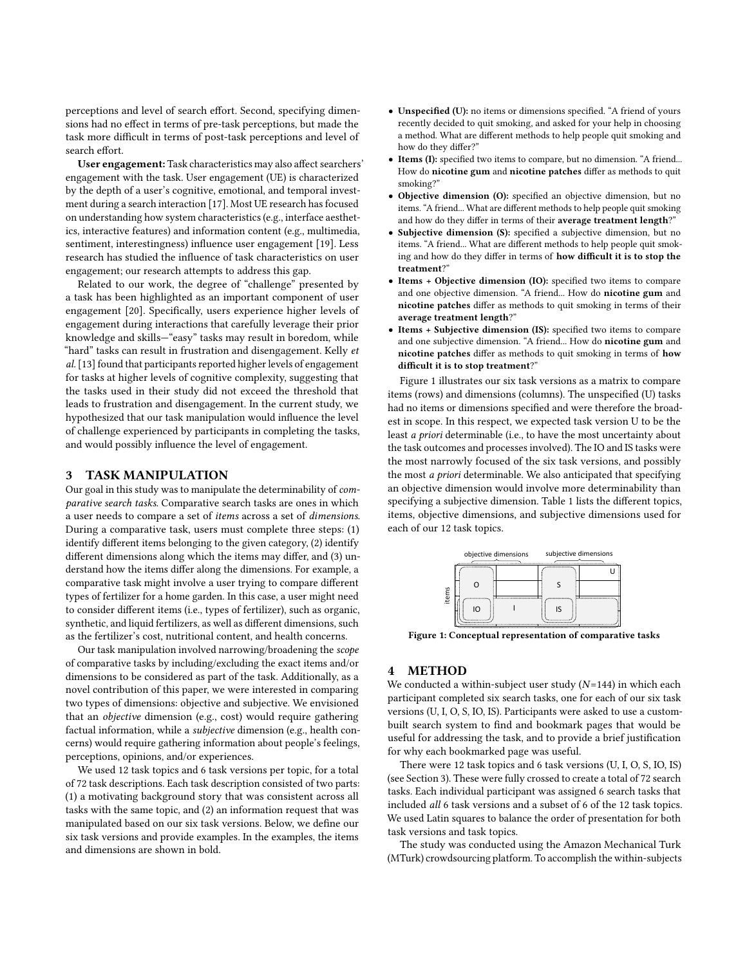perceptions and level of search effort. Second, specifying dimensions had no effect in terms of pre-task perceptions, but made the task more difficult in terms of post-task perceptions and level of search effort.

User engagement: Task characteristics may also affect searchers' engagement with the task. User engagement (UE) is characterized by the depth of a user's cognitive, emotional, and temporal investment during a search interaction [\[17\]](#page-9-18). Most UE research has focused on understanding how system characteristics (e.g., interface aesthetics, interactive features) and information content (e.g., multimedia, sentiment, interestingness) influence user engagement [\[19\]](#page-9-19). Less research has studied the influence of task characteristics on user engagement; our research attempts to address this gap.

Related to our work, the degree of "challenge" presented by a task has been highlighted as an important component of user engagement [\[20\]](#page-9-20). Specifically, users experience higher levels of engagement during interactions that carefully leverage their prior knowledge and skills—"easy" tasks may result in boredom, while "hard" tasks can result in frustration and disengagement. Kelly et al.[\[13\]](#page-9-7) found that participants reported higher levels of engagement for tasks at higher levels of cognitive complexity, suggesting that the tasks used in their study did not exceed the threshold that leads to frustration and disengagement. In the current study, we hypothesized that our task manipulation would influence the level of challenge experienced by participants in completing the tasks, and would possibly influence the level of engagement.

# <span id="page-2-1"></span>3 TASK MANIPULATION

Our goal in this study was to manipulate the determinability of comparative search tasks. Comparative search tasks are ones in which a user needs to compare a set of items across a set of dimensions. During a comparative task, users must complete three steps: (1) identify different items belonging to the given category, (2) identify different dimensions along which the items may differ, and (3) understand how the items differ along the dimensions. For example, a comparative task might involve a user trying to compare different types of fertilizer for a home garden. In this case, a user might need to consider different items (i.e., types of fertilizer), such as organic, synthetic, and liquid fertilizers, as well as different dimensions, such as the fertilizer's cost, nutritional content, and health concerns.

Our task manipulation involved narrowing/broadening the scope of comparative tasks by including/excluding the exact items and/or dimensions to be considered as part of the task. Additionally, as a novel contribution of this paper, we were interested in comparing two types of dimensions: objective and subjective. We envisioned that an objective dimension (e.g., cost) would require gathering factual information, while a subjective dimension (e.g., health concerns) would require gathering information about people's feelings, perceptions, opinions, and/or experiences.

We used 12 task topics and 6 task versions per topic, for a total of 72 task descriptions. Each task description consisted of two parts: (1) a motivating background story that was consistent across all tasks with the same topic, and (2) an information request that was manipulated based on our six task versions. Below, we define our six task versions and provide examples. In the examples, the items and dimensions are shown in bold.

- Unspecified (U): no items or dimensions specified. "A friend of yours recently decided to quit smoking, and asked for your help in choosing a method. What are different methods to help people quit smoking and how do they differ?"
- Items (I): specified two items to compare, but no dimension. "A friend... How do nicotine gum and nicotine patches differ as methods to quit smoking?"
- Objective dimension (O): specified an objective dimension, but no items. "A friend... What are different methods to help people quit smoking and how do they differ in terms of their average treatment length?'
- Subjective dimension (S): specified a subjective dimension, but no items. "A friend... What are different methods to help people quit smoking and how do they differ in terms of how difficult it is to stop the treatment?"
- Items + Objective dimension (IO): specified two items to compare and one objective dimension. "A friend... How do nicotine gum and nicotine patches differ as methods to quit smoking in terms of their average treatment length?"
- Items + Subjective dimension (IS): specified two items to compare and one subjective dimension. "A friend... How do nicotine gum and nicotine patches differ as methods to quit smoking in terms of how difficult it is to stop treatment?"

Figure [1](#page-2-0) illustrates our six task versions as a matrix to compare items (rows) and dimensions (columns). The unspecified (U) tasks had no items or dimensions specified and were therefore the broadest in scope. In this respect, we expected task version U to be the least a priori determinable (i.e., to have the most uncertainty about the task outcomes and processes involved). The IO and IS tasks were the most narrowly focused of the six task versions, and possibly the most a priori determinable. We also anticipated that specifying an objective dimension would involve more determinability than specifying a subjective dimension. Table [1](#page-3-0) lists the different topics, items, objective dimensions, and subjective dimensions used for each of our 12 task topics.

<span id="page-2-0"></span>

Figure 1: Conceptual representation of comparative tasks

# 4 METHOD

We conducted a within-subject user study  $(N=144)$  in which each participant completed six search tasks, one for each of our six task versions (U, I, O, S, IO, IS). Participants were asked to use a custombuilt search system to find and bookmark pages that would be useful for addressing the task, and to provide a brief justification for why each bookmarked page was useful.

There were 12 task topics and 6 task versions (U, I, O, S, IO, IS) (see Section [3\)](#page-2-1). These were fully crossed to create a total of 72 search tasks. Each individual participant was assigned 6 search tasks that included all 6 task versions and a subset of 6 of the 12 task topics. We used Latin squares to balance the order of presentation for both task versions and task topics.

The study was conducted using the Amazon Mechanical Turk (MTurk) crowdsourcing platform. To accomplish the within-subjects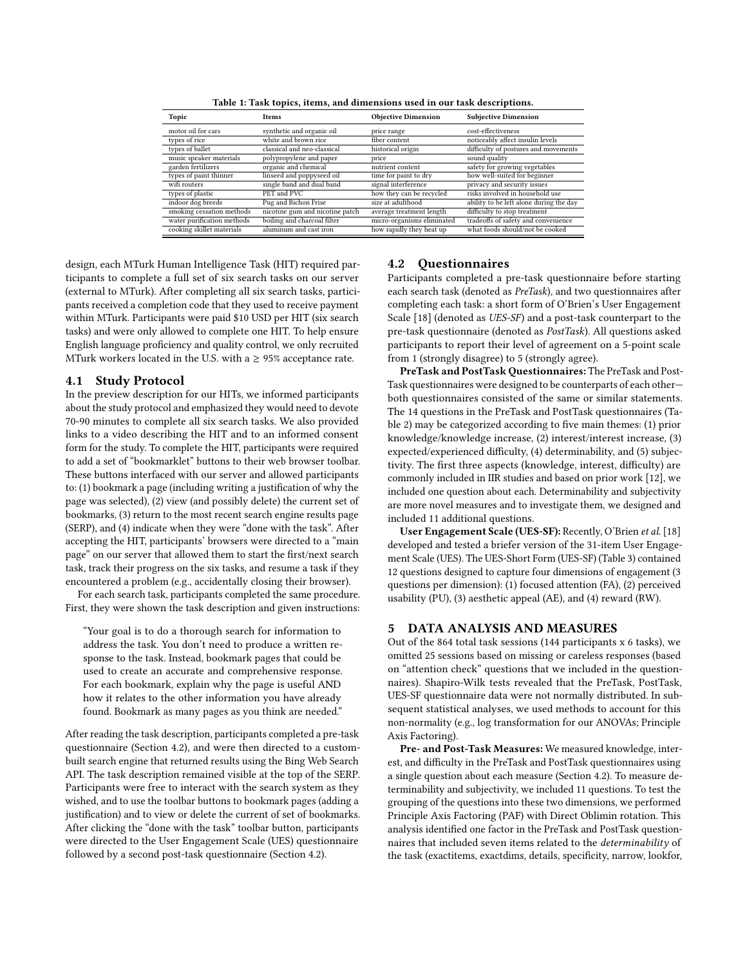<span id="page-3-0"></span>

| Topic                      | Items                           | <b>Objective Dimension</b> | <b>Subjective Dimension</b>             |
|----------------------------|---------------------------------|----------------------------|-----------------------------------------|
| motor oil for cars         | synthetic and organic oil       | price range                | cost-effectiveness                      |
| types of rice              | white and brown rice            | fiber content              | noticeably affect insulin levels        |
| types of ballet            | classical and neo-classical     | historical origin          | difficulty of postures and movements    |
| music speaker materials    | polypropylene and paper         | price                      | sound quality                           |
| garden fertilizers         | organic and chemical            | nutrient content           | safety for growing vegetables           |
| types of paint thinner     | linseed and poppyseed oil       | time for paint to dry      | how well-suited for beginner            |
| wifi routers               | single band and dual band       | signal interference        | privacy and security issues             |
| types of plastic           | PET and PVC                     | how they can be recycled   | risks involved in household use         |
| indoor dog breeds          | Pug and Bichon Frise            | size at adulthood          | ability to be left alone during the day |
| smoking cessation methods  | nicotine gum and nicotine patch | average treatment length   | difficulty to stop treatment            |
| water purification methods | boiling and charcoal filter     | micro-organisms eliminated | tradeoffs of safety and convenience     |
| cooking skillet materials  | aluminum and cast iron          | how rapidly they heat up   | what foods should/not be cooked         |

Table 1: Task topics, items, and dimensions used in our task descriptions.

design, each MTurk Human Intelligence Task (HIT) required participants to complete a full set of six search tasks on our server (external to MTurk). After completing all six search tasks, participants received a completion code that they used to receive payment within MTurk. Participants were paid \$10 USD per HIT (six search tasks) and were only allowed to complete one HIT. To help ensure English language proficiency and quality control, we only recruited MTurk workers located in the U.S. with a  $\geq$  95% acceptance rate.

## 4.1 Study Protocol

In the preview description for our HITs, we informed participants about the study protocol and emphasized they would need to devote 70-90 minutes to complete all six search tasks. We also provided links to a video describing the HIT and to an informed consent form for the study. To complete the HIT, participants were required to add a set of "bookmarklet" buttons to their web browser toolbar. These buttons interfaced with our server and allowed participants to: (1) bookmark a page (including writing a justification of why the page was selected), (2) view (and possibly delete) the current set of bookmarks, (3) return to the most recent search engine results page (SERP), and (4) indicate when they were "done with the task". After accepting the HIT, participants' browsers were directed to a "main page" on our server that allowed them to start the first/next search task, track their progress on the six tasks, and resume a task if they encountered a problem (e.g., accidentally closing their browser).

For each search task, participants completed the same procedure. First, they were shown the task description and given instructions:

"Your goal is to do a thorough search for information to address the task. You don't need to produce a written response to the task. Instead, bookmark pages that could be used to create an accurate and comprehensive response. For each bookmark, explain why the page is useful AND how it relates to the other information you have already found. Bookmark as many pages as you think are needed."

After reading the task description, participants completed a pre-task questionnaire (Section [4.2\)](#page-3-1), and were then directed to a custombuilt search engine that returned results using the Bing Web Search API. The task description remained visible at the top of the SERP. Participants were free to interact with the search system as they wished, and to use the toolbar buttons to bookmark pages (adding a justification) and to view or delete the current of set of bookmarks. After clicking the "done with the task" toolbar button, participants were directed to the User Engagement Scale (UES) questionnaire followed by a second post-task questionnaire (Section [4.2\)](#page-3-1).

## <span id="page-3-1"></span>4.2 Questionnaires

Participants completed a pre-task questionnaire before starting each search task (denoted as PreTask), and two questionnaires after completing each task: a short form of O'Brien's User Engagement Scale [\[18\]](#page-9-10) (denoted as UES-SF) and a post-task counterpart to the pre-task questionnaire (denoted as PostTask). All questions asked participants to report their level of agreement on a 5-point scale from 1 (strongly disagree) to 5 (strongly agree).

PreTask and PostTask Questionnaires: The PreTask and Post-Task questionnaires were designed to be counterparts of each other both questionnaires consisted of the same or similar statements. The 14 questions in the PreTask and PostTask questionnaires (Table [2\)](#page-4-0) may be categorized according to five main themes: (1) prior knowledge/knowledge increase, (2) interest/interest increase, (3) expected/experienced difficulty, (4) determinability, and (5) subjectivity. The first three aspects (knowledge, interest, difficulty) are commonly included in IIR studies and based on prior work [\[12\]](#page-9-21), we included one question about each. Determinability and subjectivity are more novel measures and to investigate them, we designed and included 11 additional questions.

User Engagement Scale (UES-SF): Recently, O'Brien et al. [\[18\]](#page-9-10) developed and tested a briefer version of the 31-item User Engagement Scale (UES). The UES-Short Form (UES-SF) (Table [3\)](#page-4-1) contained 12 questions designed to capture four dimensions of engagement (3 questions per dimension): (1) focused attention (FA), (2) perceived usability (PU), (3) aesthetic appeal (AE), and (4) reward (RW).

#### 5 DATA ANALYSIS AND MEASURES

Out of the 864 total task sessions (144 participants x 6 tasks), we omitted 25 sessions based on missing or careless responses (based on "attention check" questions that we included in the questionnaires). Shapiro-Wilk tests revealed that the PreTask, PostTask, UES-SF questionnaire data were not normally distributed. In subsequent statistical analyses, we used methods to account for this non-normality (e.g., log transformation for our ANOVAs; Principle Axis Factoring).

Pre- and Post-Task Measures: We measured knowledge, interest, and difficulty in the PreTask and PostTask questionnaires using a single question about each measure (Section [4.2\)](#page-3-1). To measure determinability and subjectivity, we included 11 questions. To test the grouping of the questions into these two dimensions, we performed Principle Axis Factoring (PAF) with Direct Oblimin rotation. This analysis identified one factor in the PreTask and PostTask questionnaires that included seven items related to the determinability of the task (exactitems, exactdims, details, specificity, narrow, lookfor,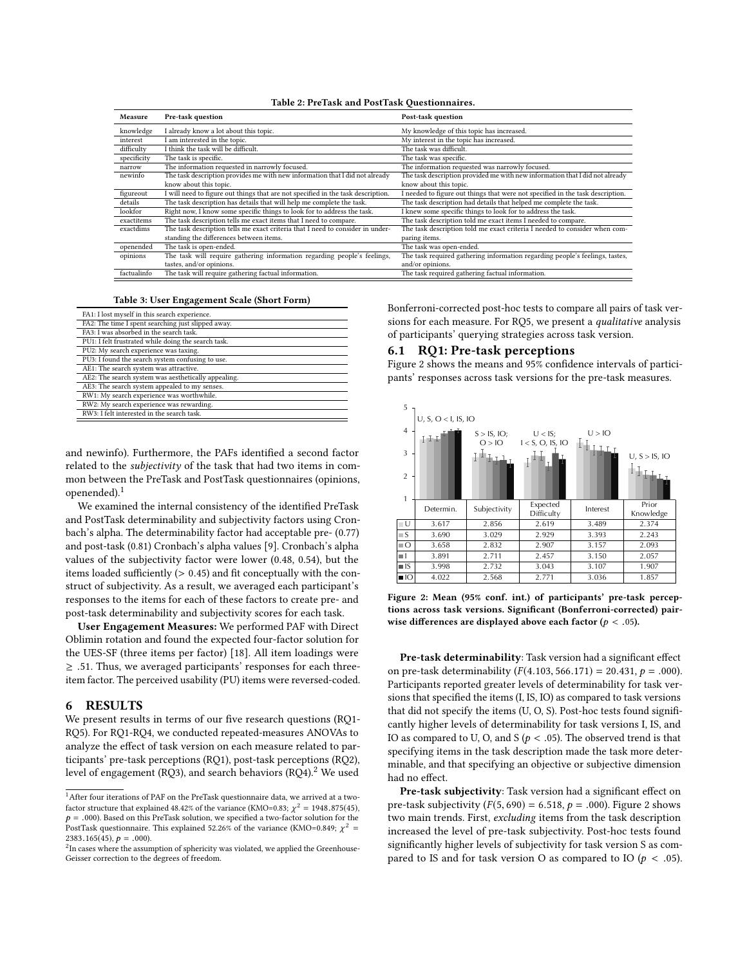| Table 2: PreTask and PostTask Questionnaires. |  |  |
|-----------------------------------------------|--|--|
|-----------------------------------------------|--|--|

<span id="page-4-0"></span>

| Measure     | Pre-task question                                                                | Post-task question                                                             |
|-------------|----------------------------------------------------------------------------------|--------------------------------------------------------------------------------|
| knowledge   | I already know a lot about this topic.                                           | My knowledge of this topic has increased.                                      |
| interest    | I am interested in the topic.                                                    | My interest in the topic has increased.                                        |
| difficulty  | I think the task will be difficult.                                              | The task was difficult.                                                        |
| specificity | The task is specific.                                                            | The task was specific.                                                         |
| narrow      | The information requested in narrowly focused.                                   | The information requested was narrowly focused.                                |
| newinfo     | The task description provides me with new information that I did not already     | The task description provided me with new information that I did not already   |
|             | know about this topic.                                                           | know about this topic.                                                         |
| figureout   | I will need to figure out things that are not specified in the task description. | I needed to figure out things that were not specified in the task description. |
| details     | The task description has details that will help me complete the task.            | The task description had details that helped me complete the task.             |
| lookfor     | Right now, I know some specific things to look for to address the task.          | I knew some specific things to look for to address the task.                   |
| exactitems  | The task description tells me exact items that I need to compare.                | The task description told me exact items I needed to compare.                  |
| exactdims   | The task description tells me exact criteria that I need to consider in under-   | The task description told me exact criteria I needed to consider when com-     |
|             | standing the differences between items.                                          | paring items.                                                                  |
| openended   | The task is open-ended.                                                          | The task was open-ended.                                                       |
| opinions    | The task will require gathering information regarding people's feelings,         | The task required gathering information regarding people's feelings, tastes,   |
|             | tastes, and/or opinions.                                                         | and/or opinions.                                                               |
| factualinfo | The task will require gathering factual information.                             | The task required gathering factual information.                               |

|  |  | Table 3: User Engagement Scale (Short Form) |  |
|--|--|---------------------------------------------|--|
|--|--|---------------------------------------------|--|

<span id="page-4-1"></span>

| FA1: I lost myself in this search experience.       |
|-----------------------------------------------------|
| FA2: The time I spent searching just slipped away.  |
| FA3: I was absorbed in the search task.             |
| PU1: I felt frustrated while doing the search task. |
| PU2: My search experience was taxing.               |
| PU3: I found the search system confusing to use.    |
| AE1: The search system was attractive.              |
| AE2: The search system was aesthetically appealing. |
| AE3: The search system appealed to my senses.       |
| RW1: My search experience was worthwhile.           |
| RW2: My search experience was rewarding.            |
| RW3: I felt interested in the search task.          |

and newinfo). Furthermore, the PAFs identified a second factor related to the *subjectivity* of the task that had two items in common between the PreTask and PostTask questionnaires (opinions, openended).[1](#page-4-2)

We examined the internal consistency of the identified PreTask and PostTask determinability and subjectivity factors using Cronbach's alpha. The determinability factor had acceptable pre- (0.77) and post-task (0.81) Cronbach's alpha values [\[9\]](#page-9-22). Cronbach's alpha values of the subjectivity factor were lower (0.48, 0.54), but the items loaded sufficiently (> <sup>0</sup>.45) and fit conceptually with the construct of subjectivity. As a result, we averaged each participant's responses to the items for each of these factors to create pre- and post-task determinability and subjectivity scores for each task.

User Engagement Measures: We performed PAF with Direct Oblimin rotation and found the expected four-factor solution for the UES-SF (three items per factor) [\[18\]](#page-9-10). All item loadings were  $\geq$  .51. Thus, we averaged participants' responses for each threeitem factor. The perceived usability (PU) items were reversed-coded.

# 6 RESULTS

We present results in terms of our five research questions (RQ1- RQ5). For RQ1-RQ4, we conducted repeated-measures ANOVAs to analyze the effect of task version on each measure related to participants' pre-task perceptions (RQ1), post-task perceptions (RQ2), level of engagement (RQ3), and search behaviors (RQ4).<sup>[2](#page-4-3)</sup> We used

Bonferroni-corrected post-hoc tests to compare all pairs of task versions for each measure. For RQ5, we present a qualitative analysis of participants' querying strategies across task version.

# 6.1 RQ1: Pre-task perceptions

Figure [2](#page-4-4) shows the means and 95% confidence intervals of participants' responses across task versions for the pre-task measures.

<span id="page-4-4"></span>

Figure 2: Mean (95% conf. int.) of participants' pre-task perceptions across task versions. Significant (Bonferroni-corrected) pairwise differences are displayed above each factor ( $p < .05$ ).

Pre-task determinability: Task version had a significant effect on pre-task determinability ( $F(4.103, 566.171) = 20.431, p = .000$ ). Participants reported greater levels of determinability for task versions that specified the items (I, IS, IO) as compared to task versions that did not specify the items (U, O, S). Post-hoc tests found significantly higher levels of determinability for task versions I, IS, and IO as compared to U, O, and S ( $p < .05$ ). The observed trend is that specifying items in the task description made the task more determinable, and that specifying an objective or subjective dimension had no effect.

Pre-task subjectivity: Task version had a significant effect on pre-task subjectivity  $(F(5, 690) = 6.518, p = .000)$ . Figure [2](#page-4-4) shows two main trends. First, excluding items from the task description increased the level of pre-task subjectivity. Post-hoc tests found significantly higher levels of subjectivity for task version S as compared to IS and for task version O as compared to IO ( $p < .05$ ).

<span id="page-4-2"></span> $^{\rm 1}$  After four iterations of PAF on the PreTask questionnaire data, we arrived at a twofactor structure that explained 48.42% of the variance (KMO=0.83;  $\chi^2 = 1948.875(45)$ ,  $\sigma = 0.000$ ) Based on this PreTask solution, we specified a two-factor solution for the  $p = .000$ ). Based on this PreTask solution, we specified a two-factor solution for the PostTask questionnaire. This explained 52.26% of the variance (KMO=0.849;  $\chi^2$  = 2383.165(45),  $p = .000$ ).

<span id="page-4-3"></span> ${}^{2}$ In cases where the assumption of sphericity was violated, we applied the Greenhouse-Geisser correction to the degrees of freedom.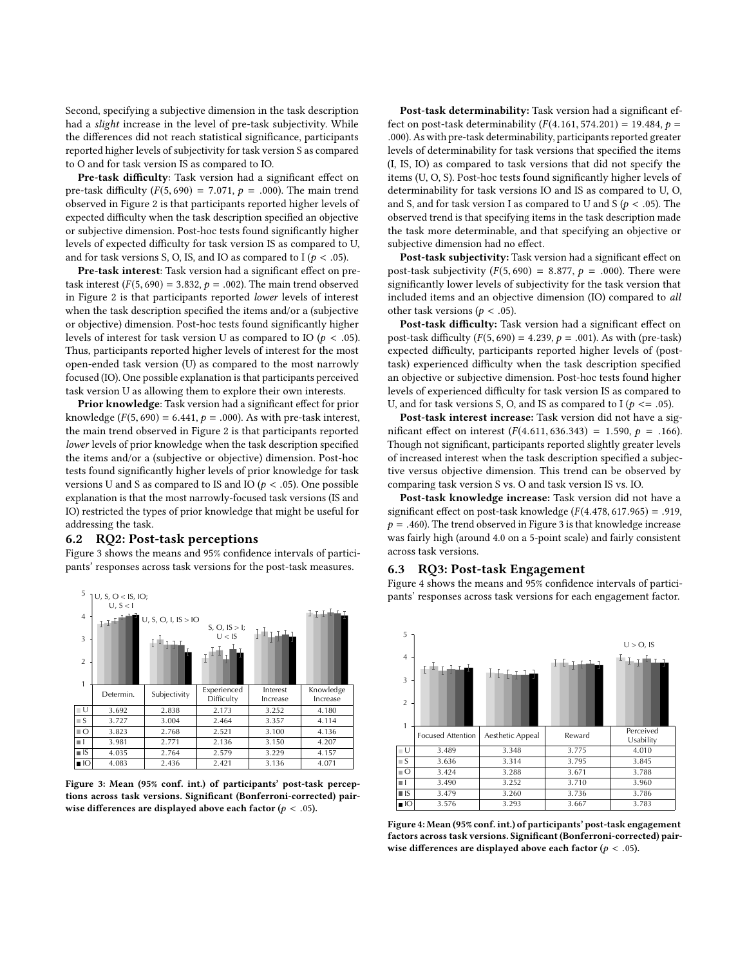Second, specifying a subjective dimension in the task description had a slight increase in the level of pre-task subjectivity. While the differences did not reach statistical significance, participants reported higher levels of subjectivity for task version S as compared to O and for task version IS as compared to IO.

Pre-task difficulty: Task version had a significant effect on pre-task difficulty ( $F(5, 690) = 7.071$ ,  $p = .000$ ). The main trend observed in Figure [2](#page-4-4) is that participants reported higher levels of expected difficulty when the task description specified an objective or subjective dimension. Post-hoc tests found significantly higher levels of expected difficulty for task version IS as compared to U, and for task versions S, O, IS, and IO as compared to I ( $p < .05$ ).

Pre-task interest: Task version had a significant effect on pretask interest ( $F(5, 690) = 3.832$ ,  $p = .002$ ). The main trend observed in Figure [2](#page-4-4) is that participants reported lower levels of interest when the task description specified the items and/or a (subjective or objective) dimension. Post-hoc tests found significantly higher levels of interest for task version U as compared to IO ( $p < .05$ ). Thus, participants reported higher levels of interest for the most open-ended task version (U) as compared to the most narrowly focused (IO). One possible explanation is that participants perceived task version U as allowing them to explore their own interests.

Prior knowledge: Task version had a significant effect for prior knowledge  $(F(5, 690) = 6.441, p = .000)$ . As with pre-task interest, the main trend observed in Figure [2](#page-4-4) is that participants reported lower levels of prior knowledge when the task description specified the items and/or a (subjective or objective) dimension. Post-hoc tests found significantly higher levels of prior knowledge for task versions U and S as compared to IS and IO ( $p < .05$ ). One possible explanation is that the most narrowly-focused task versions (IS and IO) restricted the types of prior knowledge that might be useful for addressing the task.

#### 6.2 RQ2: Post-task perceptions

Figure [3](#page-5-0) shows the means and 95% confidence intervals of participants' responses across task versions for the post-task measures.

<span id="page-5-0"></span>

Figure 3: Mean (95% conf. int.) of participants' post-task perceptions across task versions. Significant (Bonferroni-corrected) pairwise differences are displayed above each factor ( $p < .05$ ).

Post-task determinability: Task version had a significant effect on post-task determinability ( $F(4.161, 574.201) = 19.484$ ,  $p =$ .000). As with pre-task determinability, participants reported greater levels of determinability for task versions that specified the items (I, IS, IO) as compared to task versions that did not specify the items (U, O, S). Post-hoc tests found significantly higher levels of determinability for task versions IO and IS as compared to U, O, and S, and for task version I as compared to U and S ( $p < .05$ ). The observed trend is that specifying items in the task description made the task more determinable, and that specifying an objective or subjective dimension had no effect.

Post-task subjectivity: Task version had a significant effect on post-task subjectivity ( $F(5, 690) = 8.877$ ,  $p = .000$ ). There were significantly lower levels of subjectivity for the task version that included items and an objective dimension (IO) compared to all other task versions ( $p < .05$ ).

Post-task difficulty: Task version had a significant effect on post-task difficulty  $(F(5, 690) = 4.239, p = .001)$ . As with (pre-task) expected difficulty, participants reported higher levels of (posttask) experienced difficulty when the task description specified an objective or subjective dimension. Post-hoc tests found higher levels of experienced difficulty for task version IS as compared to U, and for task versions S, O, and IS as compared to I ( $p \leq 0.05$ ).

Post-task interest increase: Task version did not have a significant effect on interest  $(F(4.611, 636.343) = 1.590, p = .166)$ . Though not significant, participants reported slightly greater levels of increased interest when the task description specified a subjective versus objective dimension. This trend can be observed by comparing task version S vs. O and task version IS vs. IO.

Post-task knowledge increase: Task version did not have a significant effect on post-task knowledge  $(F(4.478, 617.965) = .919,$  $p = .460$ ). The trend observed in Figure [3](#page-5-0) is that knowledge increase was fairly high (around 4.0 on a 5-point scale) and fairly consistent across task versions.

# 6.3 RQ3: Post-task Engagement

Figure [4](#page-5-1) shows the means and 95% confidence intervals of participants' responses across task versions for each engagement factor.

<span id="page-5-1"></span>

Figure 4: Mean (95% conf. int.) of participants' post-task engagement factors across task versions. Significant (Bonferroni-corrected) pairwise differences are displayed above each factor ( $p < .05$ ).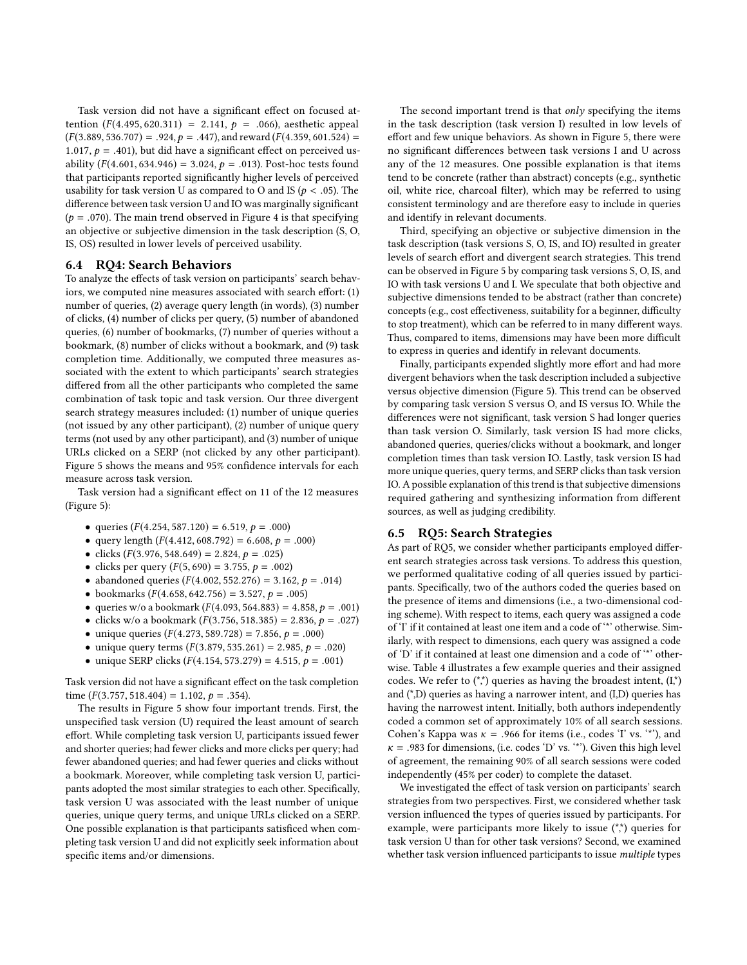Task version did not have a significant effect on focused attention  $(F(4.495, 620.311) = 2.141, p = .066)$ , aesthetic appeal  $(F(3.889, 536.707) = .924, p = .447)$ , and reward  $(F(4.359, 601.524) =$ 1.017,  $p = .401$ ), but did have a significant effect on perceived usability  $(F(4.601, 634.946) = 3.024, p = .013)$ . Post-hoc tests found that participants reported significantly higher levels of perceived usability for task version U as compared to O and IS ( $p < .05$ ). The difference between task version U and IO was marginally significant ( $p = .070$ ). The main trend observed in Figure [4](#page-5-1) is that specifying an objective or subjective dimension in the task description (S, O, IS, OS) resulted in lower levels of perceived usability.

# 6.4 RQ4: Search Behaviors

To analyze the effects of task version on participants' search behaviors, we computed nine measures associated with search effort: (1) number of queries, (2) average query length (in words), (3) number of clicks, (4) number of clicks per query, (5) number of abandoned queries, (6) number of bookmarks, (7) number of queries without a bookmark, (8) number of clicks without a bookmark, and (9) task completion time. Additionally, we computed three measures associated with the extent to which participants' search strategies differed from all the other participants who completed the same combination of task topic and task version. Our three divergent search strategy measures included: (1) number of unique queries (not issued by any other participant), (2) number of unique query terms (not used by any other participant), and (3) number of unique URLs clicked on a SERP (not clicked by any other participant). Figure [5](#page-7-0) shows the means and 95% confidence intervals for each measure across task version.

Task version had a significant effect on 11 of the 12 measures (Figure [5\)](#page-7-0):

- queries  $(F(4.254, 587.120) = 6.519, p = .000)$
- query length  $(F(4.412, 608.792) = 6.608, p = .000)$
- clicks  $(F(3.976, 548.649) = 2.824, p = .025)$
- clicks per query  $(F(5, 690) = 3.755, p = .002)$
- abandoned queries  $(F(4.002, 552.276) = 3.162, p = .014)$
- bookmarks  $(F(4.658, 642.756) = 3.527, p = .005)$
- queries w/o a bookmark  $(F(4.093, 564.883) = 4.858, p = .001)$
- clicks w/o a bookmark  $(F(3.756, 518.385) = 2.836, p = .027)$
- unique queries  $(F(4.273, 589.728) = 7.856, p = .000)$
- unique query terms  $(F(3.879, 535.261) = 2.985, p = .020)$
- unique SERP clicks  $(F(4.154, 573.279) = 4.515, p = .001)$

Task version did not have a significant effect on the task completion time ( $F(3.757, 518.404) = 1.102, p = .354$ ).

The results in Figure [5](#page-7-0) show four important trends. First, the unspecified task version (U) required the least amount of search effort. While completing task version U, participants issued fewer and shorter queries; had fewer clicks and more clicks per query; had fewer abandoned queries; and had fewer queries and clicks without a bookmark. Moreover, while completing task version U, participants adopted the most similar strategies to each other. Specifically, task version U was associated with the least number of unique queries, unique query terms, and unique URLs clicked on a SERP. One possible explanation is that participants satisficed when completing task version U and did not explicitly seek information about specific items and/or dimensions.

The second important trend is that only specifying the items in the task description (task version I) resulted in low levels of effort and few unique behaviors. As shown in Figure [5,](#page-7-0) there were no significant differences between task versions I and U across any of the 12 measures. One possible explanation is that items tend to be concrete (rather than abstract) concepts (e.g., synthetic oil, white rice, charcoal filter), which may be referred to using consistent terminology and are therefore easy to include in queries and identify in relevant documents.

Third, specifying an objective or subjective dimension in the task description (task versions S, O, IS, and IO) resulted in greater levels of search effort and divergent search strategies. This trend can be observed in Figure [5](#page-7-0) by comparing task versions S, O, IS, and IO with task versions U and I. We speculate that both objective and subjective dimensions tended to be abstract (rather than concrete) concepts (e.g., cost effectiveness, suitability for a beginner, difficulty to stop treatment), which can be referred to in many different ways. Thus, compared to items, dimensions may have been more difficult to express in queries and identify in relevant documents.

Finally, participants expended slightly more effort and had more divergent behaviors when the task description included a subjective versus objective dimension (Figure [5\)](#page-7-0). This trend can be observed by comparing task version S versus O, and IS versus IO. While the differences were not significant, task version S had longer queries than task version O. Similarly, task version IS had more clicks, abandoned queries, queries/clicks without a bookmark, and longer completion times than task version IO. Lastly, task version IS had more unique queries, query terms, and SERP clicks than task version IO. A possible explanation of this trend is that subjective dimensions required gathering and synthesizing information from different sources, as well as judging credibility.

#### 6.5 RQ5: Search Strategies

As part of RQ5, we consider whether participants employed different search strategies across task versions. To address this question, we performed qualitative coding of all queries issued by participants. Specifically, two of the authors coded the queries based on the presence of items and dimensions (i.e., a two-dimensional coding scheme). With respect to items, each query was assigned a code of 'I' if it contained at least one item and a code of '\*' otherwise. Similarly, with respect to dimensions, each query was assigned a code of 'D' if it contained at least one dimension and a code of '\*' otherwise. Table [4](#page-7-1) illustrates a few example queries and their assigned codes. We refer to  $(*)$  queries as having the broadest intent,  $(I<sup>*</sup>)$ and (\*,D) queries as having a narrower intent, and (I,D) queries has having the narrowest intent. Initially, both authors independently coded a common set of approximately 10% of all search sessions. Cohen's Kappa was  $\kappa = .966$  for items (i.e., codes 'I' vs. '\*'), and  $\kappa$  = .983 for dimensions, (i.e. codes 'D' vs. '\*'). Given this high level of agreement, the remaining 90% of all search sessions were coded independently (45% per coder) to complete the dataset.

We investigated the effect of task version on participants' search strategies from two perspectives. First, we considered whether task version influenced the types of queries issued by participants. For example, were participants more likely to issue  $(**)$  queries for task version U than for other task versions? Second, we examined whether task version influenced participants to issue multiple types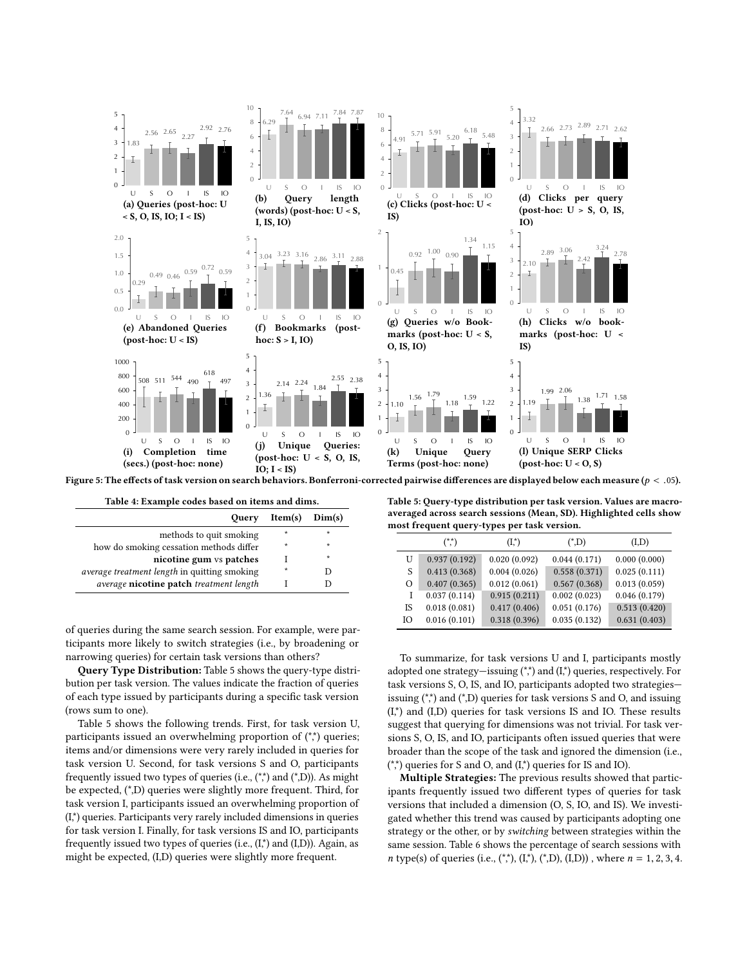<span id="page-7-0"></span>

Figure 5: The effects of task version on search behaviors. Bonferroni-corrected pairwise differences are displayed below each measure ( $p < .05$ ).

<span id="page-7-1"></span>

| Table 4: Example codes based on items and dims. |                    |         |  |  |
|-------------------------------------------------|--------------------|---------|--|--|
| <b>Ouery</b>                                    | $Item(s)$ $Dim(s)$ |         |  |  |
| methods to quit smoking                         | $\star$            | $\star$ |  |  |
| how do smoking cessation methods differ         | $\star$            | $\star$ |  |  |
| nicotine gum vs patches                         |                    | $\star$ |  |  |
| average treatment length in quitting smoking    | $\star$            |         |  |  |
| average nicotine patch treatment length         |                    |         |  |  |

of queries during the same search session. For example, were participants more likely to switch strategies (i.e., by broadening or narrowing queries) for certain task versions than others?

Query Type Distribution: Table [5](#page-7-2) shows the query-type distribution per task version. The values indicate the fraction of queries of each type issued by participants during a specific task version (rows sum to one).

Table [5](#page-7-2) shows the following trends. First, for task version U, participants issued an overwhelming proportion of  $(**)$  queries; items and/or dimensions were very rarely included in queries for task version U. Second, for task versions S and O, participants frequently issued two types of queries (i.e.,  $(**)$  and  $(*,D)$ ). As might be expected, (\*,D) queries were slightly more frequent. Third, for task version I, participants issued an overwhelming proportion of (I,\*) queries. Participants very rarely included dimensions in queries for task version I. Finally, for task versions IS and IO, participants frequently issued two types of queries (i.e.,  $(I^*)$  and  $(I,D)$ ). Again, as might be expected, (I,D) queries were slightly more frequent.

<span id="page-7-2"></span>Table 5: Query-type distribution per task version. Values are macroaveraged across search sessions (Mean, SD). Highlighted cells show most frequent query-types per task version.

|    | $(**)$       | $(I^*)$      | $(*D)$       | (I,D)        |
|----|--------------|--------------|--------------|--------------|
| U  | 0.937(0.192) | 0.020(0.092) | 0.044(0.171) | 0.000(0.000) |
| S  | 0.413(0.368) | 0.004(0.026) | 0.558(0.371) | 0.025(0.111) |
| Ω  | 0.407(0.365) | 0.012(0.061) | 0.567(0.368) | 0.013(0.059) |
|    | 0.037(0.114) | 0.915(0.211) | 0.002(0.023) | 0.046(0.179) |
| IS | 0.018(0.081) | 0.417(0.406) | 0.051(0.176) | 0.513(0.420) |
| IΟ | 0.016(0.101) | 0.318(0.396) | 0.035(0.132) | 0.631(0.403) |

To summarize, for task versions U and I, participants mostly adopted one strategy—issuing  $(**)$  and  $(I*)$  queries, respectively. For task versions S, O, IS, and IO, participants adopted two strategies issuing  $(**)$  and  $(*)$ ) queries for task versions S and O, and issuing  $(I,*)$  and  $(I,D)$  queries for task versions IS and IO. These results suggest that querying for dimensions was not trivial. For task versions S, O, IS, and IO, participants often issued queries that were broader than the scope of the task and ignored the dimension (i.e.,  $(**)$  queries for S and O, and  $(I*)$  queries for IS and IO).

Multiple Strategies: The previous results showed that participants frequently issued two different types of queries for task versions that included a dimension (O, S, IO, and IS). We investigated whether this trend was caused by participants adopting one strategy or the other, or by switching between strategies within the same session. Table [6](#page-8-0) shows the percentage of search sessions with *n* type(s) of queries (i.e.,  $(*, ), (I, ), (*, D), (I, D))$ , where  $n = 1, 2, 3, 4$ .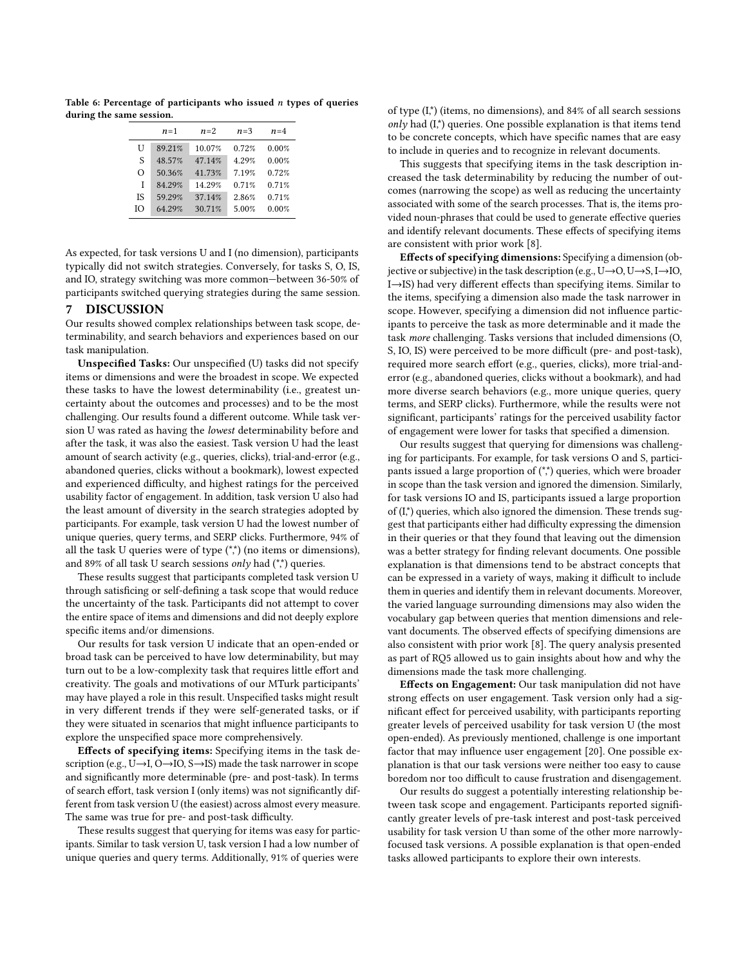<span id="page-8-0"></span>Table 6: Percentage of participants who issued  $n$  types of queries during the same session.

|    | $n=1$  | $n=2$  | $n=3$ | $n=4$ |
|----|--------|--------|-------|-------|
| U  | 89.21% | 10.07% | 0.72% | 0.00% |
| S  | 48.57% | 47.14% | 4.29% | 0.00% |
| Ω  | 50.36% | 41.73% | 7.19% | 0.72% |
| T  | 84 29% | 14 29% | 0.71% | 0.71% |
| ΙS | 59.29% | 37.14% | 2.86% | 0.71% |
| Ю  | 64.29% | 30.71% | 5.00% | 0.00% |

As expected, for task versions U and I (no dimension), participants typically did not switch strategies. Conversely, for tasks S, O, IS, and IO, strategy switching was more common—between 36-50% of participants switched querying strategies during the same session.

# 7 DISCUSSION

Our results showed complex relationships between task scope, determinability, and search behaviors and experiences based on our task manipulation.

Unspecified Tasks: Our unspecified (U) tasks did not specify items or dimensions and were the broadest in scope. We expected these tasks to have the lowest determinability (i.e., greatest uncertainty about the outcomes and processes) and to be the most challenging. Our results found a different outcome. While task version U was rated as having the lowest determinability before and after the task, it was also the easiest. Task version U had the least amount of search activity (e.g., queries, clicks), trial-and-error (e.g., abandoned queries, clicks without a bookmark), lowest expected and experienced difficulty, and highest ratings for the perceived usability factor of engagement. In addition, task version U also had the least amount of diversity in the search strategies adopted by participants. For example, task version U had the lowest number of unique queries, query terms, and SERP clicks. Furthermore, 94% of all the task U queries were of type  $(**)$  (no items or dimensions), and 89% of all task U search sessions only had  $(**)$  queries.

These results suggest that participants completed task version U through satisficing or self-defining a task scope that would reduce the uncertainty of the task. Participants did not attempt to cover the entire space of items and dimensions and did not deeply explore specific items and/or dimensions.

Our results for task version U indicate that an open-ended or broad task can be perceived to have low determinability, but may turn out to be a low-complexity task that requires little effort and creativity. The goals and motivations of our MTurk participants' may have played a role in this result. Unspecified tasks might result in very different trends if they were self-generated tasks, or if they were situated in scenarios that might influence participants to explore the unspecified space more comprehensively.

Effects of specifying items: Specifying items in the task description (e.g., U→I, O→IO, S→IS) made the task narrower in scope and significantly more determinable (pre- and post-task). In terms of search effort, task version I (only items) was not significantly different from task version U (the easiest) across almost every measure. The same was true for pre- and post-task difficulty.

These results suggest that querying for items was easy for participants. Similar to task version U, task version I had a low number of unique queries and query terms. Additionally, 91% of queries were

of type (I,\*) (items, no dimensions), and 84% of all search sessions  $only$  had  $(I^*)$  queries. One possible explanation is that items tend to be concrete concepts, which have specific names that are easy to include in queries and to recognize in relevant documents.

This suggests that specifying items in the task description increased the task determinability by reducing the number of outcomes (narrowing the scope) as well as reducing the uncertainty associated with some of the search processes. That is, the items provided noun-phrases that could be used to generate effective queries and identify relevant documents. These effects of specifying items are consistent with prior work [\[8\]](#page-9-5).

Effects of specifying dimensions: Specifying a dimension (objective or subjective) in the task description (e.g., U→O, U→S, I→IO, I→IS) had very different effects than specifying items. Similar to the items, specifying a dimension also made the task narrower in scope. However, specifying a dimension did not influence participants to perceive the task as more determinable and it made the task more challenging. Tasks versions that included dimensions (O, S, IO, IS) were perceived to be more difficult (pre- and post-task), required more search effort (e.g., queries, clicks), more trial-anderror (e.g., abandoned queries, clicks without a bookmark), and had more diverse search behaviors (e.g., more unique queries, query terms, and SERP clicks). Furthermore, while the results were not significant, participants' ratings for the perceived usability factor of engagement were lower for tasks that specified a dimension.

Our results suggest that querying for dimensions was challenging for participants. For example, for task versions O and S, participants issued a large proportion of  $(**)$  queries, which were broader in scope than the task version and ignored the dimension. Similarly, for task versions IO and IS, participants issued a large proportion of  $(I<sup>*</sup>)$  queries, which also ignored the dimension. These trends suggest that participants either had difficulty expressing the dimension in their queries or that they found that leaving out the dimension was a better strategy for finding relevant documents. One possible explanation is that dimensions tend to be abstract concepts that can be expressed in a variety of ways, making it difficult to include them in queries and identify them in relevant documents. Moreover, the varied language surrounding dimensions may also widen the vocabulary gap between queries that mention dimensions and relevant documents. The observed effects of specifying dimensions are also consistent with prior work [\[8\]](#page-9-5). The query analysis presented as part of RQ5 allowed us to gain insights about how and why the dimensions made the task more challenging.

Effects on Engagement: Our task manipulation did not have strong effects on user engagement. Task version only had a significant effect for perceived usability, with participants reporting greater levels of perceived usability for task version U (the most open-ended). As previously mentioned, challenge is one important factor that may influence user engagement [\[20\]](#page-9-20). One possible explanation is that our task versions were neither too easy to cause boredom nor too difficult to cause frustration and disengagement.

Our results do suggest a potentially interesting relationship between task scope and engagement. Participants reported significantly greater levels of pre-task interest and post-task perceived usability for task version U than some of the other more narrowlyfocused task versions. A possible explanation is that open-ended tasks allowed participants to explore their own interests.